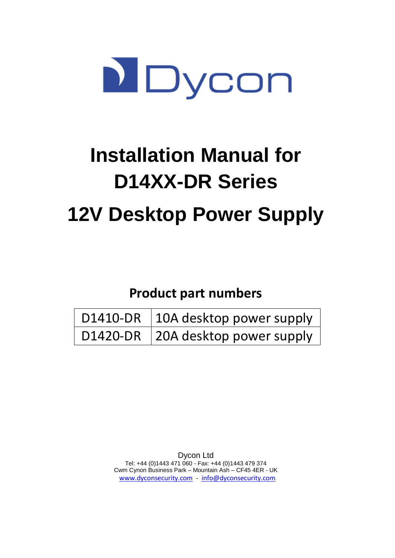

# **Installation Manual for D14XX-DR Series 12V Desktop Power Supply**

# **Product part numbers**

| D1410-DR 10A desktop power supply |
|-----------------------------------|
| D1420-DR 20A desktop power supply |

Dycon Ltd Tel: +44 (0)1443 471 060 - Fax: +44 (0)1443 479 374 Cwm Cynon Business Park – Mountain Ash – CF45 4ER - UK [www.dyconsecurity.com](http://www.dyconsecurity.com/) - [info@dyconsecurity.com](mailto:info@dyconsecurity.com)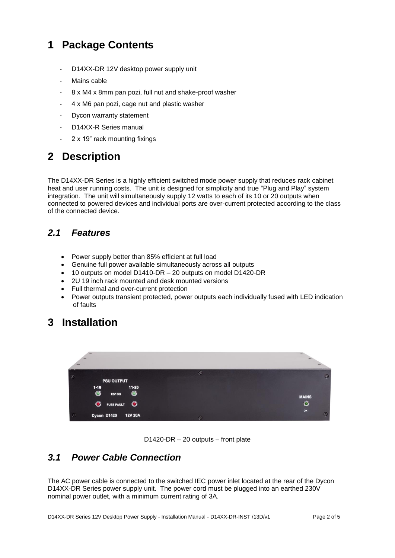## **1 Package Contents**

- D14XX-DR 12V desktop power supply unit
- Mains cable
- 8 x M4 x 8mm pan pozi, full nut and shake-proof washer
- 4 x M6 pan pozi, cage nut and plastic washer
- Dycon warranty statement
- D14XX-R Series manual
- 2 x 19" rack mounting fixings

## **2 Description**

The D14XX-DR Series is a highly efficient switched mode power supply that reduces rack cabinet heat and user running costs. The unit is designed for simplicity and true "Plug and Play" system integration. The unit will simultaneously supply 12 watts to each of its 10 or 20 outputs when connected to powered devices and individual ports are over-current protected according to the class of the connected device.

#### *2.1 Features*

- Power supply better than 85% efficient at full load
- Genuine full power available simultaneously across all outputs
- 10 outputs on model D1410-DR 20 outputs on model D1420-DR
- 2U 19 inch rack mounted and desk mounted versions
- Full thermal and over-current protection
- Power outputs transient protected, power outputs each individually fused with LED indication of faults

## **3 Installation**

| $\circ$<br><b>PSU OUTPUT</b><br>$11 - 20$   | $\odot$ | $\odot$         |
|---------------------------------------------|---------|-----------------|
| $1 - 10$<br>⊛<br>⊛<br><b>12V OK</b>         |         | <b>MAINS</b>    |
| $\bullet$<br>$\bullet$<br><b>FUSE FAULT</b> |         | $\bullet$<br>OK |
| $\circ$<br>Dycon D1420<br><b>12V 20A</b>    | $\odot$ | Θ               |



## *3.1 Power Cable Connection*

The AC power cable is connected to the switched IEC power inlet located at the rear of the Dycon D14XX-DR Series power supply unit. The power cord must be plugged into an earthed 230V nominal power outlet, with a minimum current rating of 3A.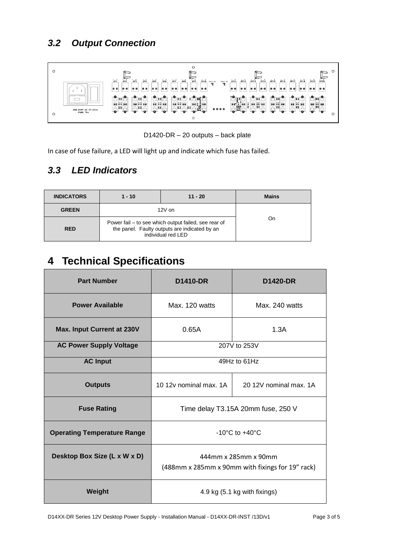

D1420-DR – 20 outputs – back plate

In case of fuse failure, a LED will light up and indicate which fuse has failed.

## *3.3 LED Indicators*

| <b>INDICATORS</b> | $1 - 10$                                                                                                                    | $11 - 20$ | <b>Mains</b> |
|-------------------|-----------------------------------------------------------------------------------------------------------------------------|-----------|--------------|
| <b>GREEN</b>      | $12V$ on                                                                                                                    |           | On           |
| <b>RED</b>        | Power fail – to see which output failed, see rear of<br>the panel. Faulty outputs are indicated by an<br>individual red LED |           |              |

## **4 Technical Specifications**

| <b>Part Number</b>                 | <b>D1410-DR</b>                                                          | <b>D1420-DR</b>              |
|------------------------------------|--------------------------------------------------------------------------|------------------------------|
| <b>Power Available</b>             | Max. 120 watts                                                           | Max. 240 watts               |
| <b>Max. Input Current at 230V</b>  | 0.65A                                                                    | 1.3A                         |
| <b>AC Power Supply Voltage</b>     | 207V to 253V                                                             |                              |
| <b>AC Input</b>                    | $49Hz$ to $61Hz$                                                         |                              |
| <b>Outputs</b>                     | 10 12y nominal max, 1A                                                   | 20 12V nominal max, 1A       |
| <b>Fuse Rating</b>                 | Time delay T3.15A 20mm fuse, 250 V                                       |                              |
| <b>Operating Temperature Range</b> | $-10^{\circ}$ C to $+40^{\circ}$ C                                       |                              |
| Desktop Box Size (L x W x D)       | 444mm x 285mm x 90mm<br>(488mm x 285mm x 90mm with fixings for 19" rack) |                              |
| Weight                             |                                                                          | 4.9 kg (5.1 kg with fixings) |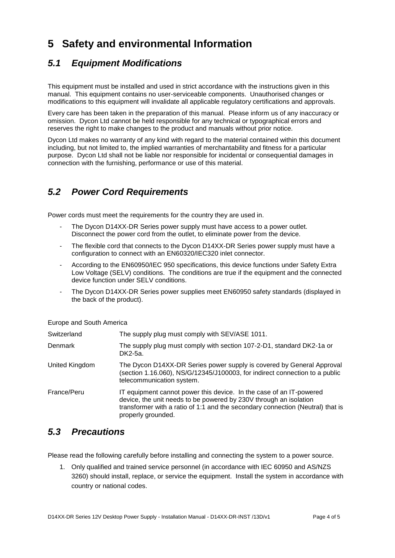## **5 Safety and environmental Information**

## *5.1 Equipment Modifications*

This equipment must be installed and used in strict accordance with the instructions given in this manual. This equipment contains no user-serviceable components. Unauthorised changes or modifications to this equipment will invalidate all applicable regulatory certifications and approvals.

Every care has been taken in the preparation of this manual. Please inform us of any inaccuracy or omission. Dycon Ltd cannot be held responsible for any technical or typographical errors and reserves the right to make changes to the product and manuals without prior notice.

Dycon Ltd makes no warranty of any kind with regard to the material contained within this document including, but not limited to, the implied warranties of merchantability and fitness for a particular purpose. Dycon Ltd shall not be liable nor responsible for incidental or consequential damages in connection with the furnishing, performance or use of this material.

## *5.2 Power Cord Requirements*

Power cords must meet the requirements for the country they are used in.

- The Dycon D14XX-DR Series power supply must have access to a power outlet. Disconnect the power cord from the outlet, to eliminate power from the device.
- The flexible cord that connects to the Dycon D14XX-DR Series power supply must have a configuration to connect with an EN60320/IEC320 inlet connector.
- According to the EN60950/IEC 950 specifications, this device functions under Safety Extra Low Voltage (SELV) conditions. The conditions are true if the equipment and the connected device function under SELV conditions.
- The Dycon D14XX-DR Series power supplies meet EN60950 safety standards (displayed in the back of the product).

Europe and South America

| Switzerland    | The supply plug must comply with SEV/ASE 1011.                                                                                                                                                                                                   |
|----------------|--------------------------------------------------------------------------------------------------------------------------------------------------------------------------------------------------------------------------------------------------|
| Denmark        | The supply plug must comply with section 107-2-D1, standard DK2-1a or<br>DK2-5a.                                                                                                                                                                 |
| United Kingdom | The Dycon D14XX-DR Series power supply is covered by General Approval<br>(section 1.16.060), NS/G/12345/J100003, for indirect connection to a public<br>telecommunication system.                                                                |
| France/Peru    | IT equipment cannot power this device. In the case of an IT-powered<br>device, the unit needs to be powered by 230V through an isolation<br>transformer with a ratio of 1:1 and the secondary connection (Neutral) that is<br>properly grounded. |

#### *5.3 Precautions*

Please read the following carefully before installing and connecting the system to a power source.

1. Only qualified and trained service personnel (in accordance with IEC 60950 and AS/NZS 3260) should install, replace, or service the equipment. Install the system in accordance with country or national codes.